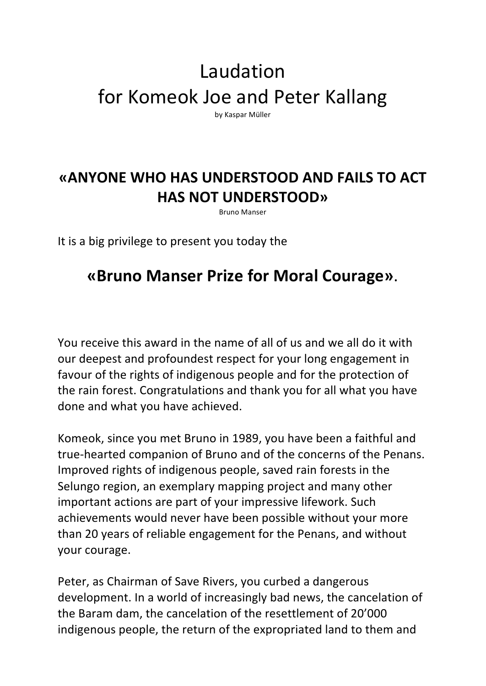## Laudation for Komeok Joe and Peter Kallang

by Kaspar Müller

## **«ANYONE WHO HAS UNDERSTOOD AND FAILS TO ACT HAS NOT UNDERSTOOD»**

Bruno Manser

It is a big privilege to present you today the

## **«Bruno Manser Prize for Moral Courage»**.

You receive this award in the name of all of us and we all do it with our deepest and profoundest respect for your long engagement in favour of the rights of indigenous people and for the protection of the rain forest. Congratulations and thank you for all what you have done and what you have achieved.

Komeok, since you met Bruno in 1989, you have been a faithful and true-hearted companion of Bruno and of the concerns of the Penans. Improved rights of indigenous people, saved rain forests in the Selungo region, an exemplary mapping project and many other important actions are part of your impressive lifework. Such achievements would never have been possible without your more than 20 years of reliable engagement for the Penans, and without your courage.

Peter, as Chairman of Save Rivers, you curbed a dangerous development. In a world of increasingly bad news, the cancelation of the Baram dam, the cancelation of the resettlement of 20'000 indigenous people, the return of the expropriated land to them and